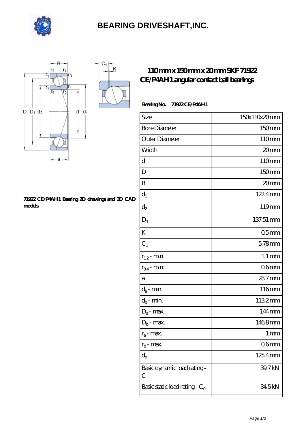

### **[BEARING DRIVESHAFT,INC.](https://m.visionsofzosimos.net)**



#### **[71922 CE/P4AH1 Bearing 2D drawings and 3D CAD](https://m.visionsofzosimos.net/pic-65124309.html) [models](https://m.visionsofzosimos.net/pic-65124309.html)**

### **[110 mm x 150 mm x 20 mm SKF 71922](https://m.visionsofzosimos.net/skf-71922-ce-p4ah1-bearing/) [CE/P4AH1 angular contact ball bearings](https://m.visionsofzosimos.net/skf-71922-ce-p4ah1-bearing/)**

#### **Bearing No. 71922 CE/P4AH1**

| Size                             | 150x110x20mm       |
|----------------------------------|--------------------|
| <b>Bore Diameter</b>             | 150mm              |
| Outer Diameter                   | 110mm              |
| Width                            | 20mm               |
| d                                | 110mm              |
| D                                | 150mm              |
| B                                | 20mm               |
| $d_1$                            | 1224mm             |
| $d_2$                            | 119mm              |
| $D_1$                            | 137.51 mm          |
| K                                | 05 <sub>mm</sub>   |
| $C_1$                            | $5.78$ mm          |
| $r_{1,2}$ - min.                 | $1.1 \, \text{mm}$ |
| $r_{34}$ - min.                  | 06 <sub>mm</sub>   |
| a                                | 28.7mm             |
| $d_a$ - min.                     | 116mm              |
| $d_b$ - min.                     | 1132mm             |
| $D_a$ - max.                     | 144mm              |
| $D_b$ - max.                     | 1468mm             |
| $r_a$ - max.                     | $1 \,\mathrm{mm}$  |
| $r_{b}$ - max.                   | 06 <sub>mm</sub>   |
| $d_{n}$                          | 125.4mm            |
| Basic dynamic load rating-<br>С  | 39.7 kN            |
| Basic static load rating - $C_0$ | 345kN              |
|                                  |                    |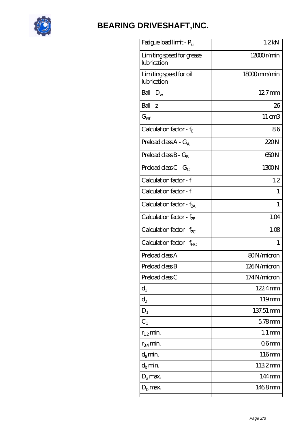

# **[BEARING DRIVESHAFT,INC.](https://m.visionsofzosimos.net)**

| Fatigue load limit - P <sub>u</sub>      | 1.2kN               |
|------------------------------------------|---------------------|
| Limiting speed for grease<br>lubrication | 12000r/min          |
| Limiting speed for oil<br>lubrication    | $18000$ mm/min      |
| Ball - $D_w$                             | 127mm               |
| $Ball - z$                               | 26                  |
| $G_{ref}$                                | $11 \text{ cm}$ 3   |
| Calculation factor - f <sub>o</sub>      | 86                  |
| Preload class $A - G_A$                  | 220N                |
| Preload class $B - G_B$                  | 650N                |
| Preload class $C - G_C$                  | 1300N               |
| Calculation factor - f                   | 1.2                 |
| Calculation factor - f                   | 1                   |
| Calculation factor - $f_{2A}$            | 1                   |
| Calculation factor - $f_{2B}$            | 1.04                |
| Calculation factor - $f_{\chi}$          | 1.08                |
| Calculation factor - $f_{HC}$            | 1                   |
| Preload class A                          | 80N/micron          |
| Preload class B                          | 126N/micron         |
| Preload class C                          | 174N/micron         |
| $d_1$                                    | 122.4mm             |
| $\mathrm{d}_2$                           | 119mm               |
| $D_1$                                    | 137.51 mm           |
| $C_1$                                    | $578$ mm            |
| $r_{1,2}$ min.                           | $1.1 \,\mathrm{mm}$ |
| $r_{34}$ min.                            | 06 <sub>mm</sub>    |
| $d_a$ min.                               | 116mm               |
| $d_b$ min.                               | 1132mm              |
| $D_a$ max.                               | 144mm               |
| $D_{\rm b}$ max.                         | 1468mm              |